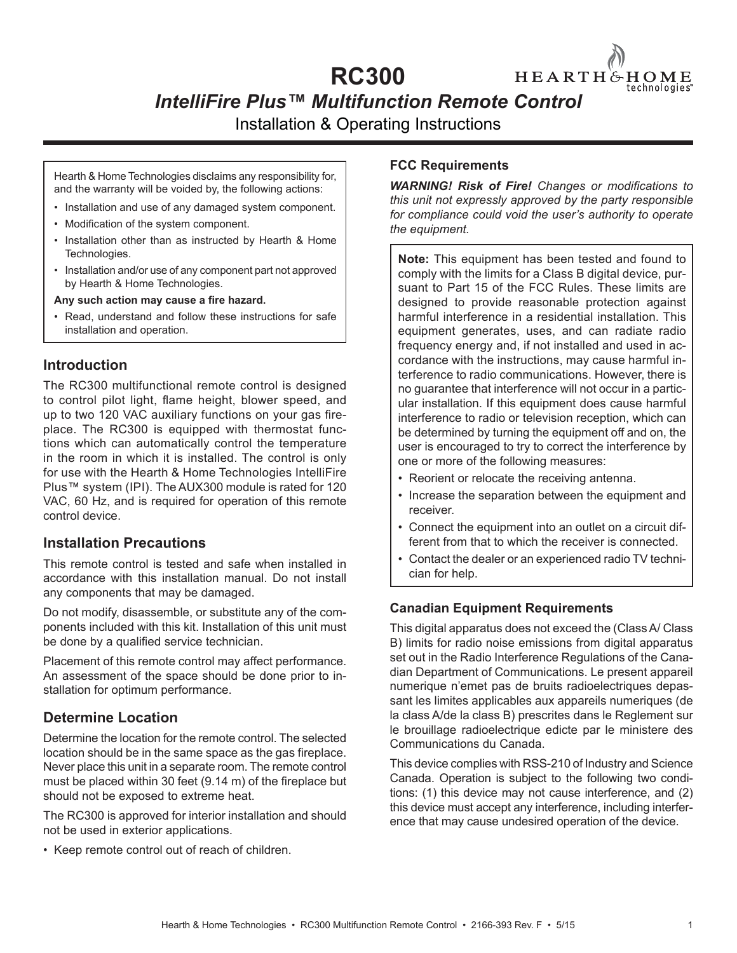# **RC300**

*IntelliFire Plus™ Multifunction Remote Control* 

Installation & Operating Instructions

Hearth & Home Technologies disclaims any responsibility for, and the warranty will be voided by, the following actions:

- Installation and use of any damaged system component.
- Modification of the system component.
- Installation other than as instructed by Hearth & Home Technologies.
- Installation and/or use of any component part not approved by Hearth & Home Technologies.

Any such action may cause a fire hazard.

• Read, understand and follow these instructions for safe installation and operation.

#### **Introduction**

The RC300 multifunctional remote control is designed to control pilot light, flame height, blower speed, and up to two 120 VAC auxiliary functions on your gas fireplace. The RC300 is equipped with thermostat functions which can automatically control the temperature in the room in which it is installed. The control is only for use with the Hearth & Home Technologies IntelliFire Plus™ system (IPI). The AUX300 module is rated for 120 VAC, 60 Hz, and is required for operation of this remote control device.

#### **Installation Precautions**

This remote control is tested and safe when installed in accordance with this installation manual. Do not install any components that may be damaged.

Do not modify, disassemble, or substitute any of the components included with this kit. Installation of this unit must be done by a qualified service technician.

Placement of this remote control may affect performance. An assessment of the space should be done prior to installation for optimum performance.

#### **Determine Location**

Determine the location for the remote control. The selected location should be in the same space as the gas fireplace. Never place this unit in a separate room. The remote control must be placed within 30 feet  $(9.14 \text{ m})$  of the fireplace but should not be exposed to extreme heat.

The RC300 is approved for interior installation and should not be used in exterior applications.

• Keep remote control out of reach of children.

#### **FCC Requirements**

**WARNING! Risk of Fire!** Changes or modifications to *this unit not expressly approved by the party responsible for compliance could void the user's authority to operate the equipment.*

HEARTH&HOME

echnologies:

**Note:** This equipment has been tested and found to comply with the limits for a Class B digital device, pursuant to Part 15 of the FCC Rules. These limits are designed to provide reasonable protection against harmful interference in a residential installation. This equipment generates, uses, and can radiate radio frequency energy and, if not installed and used in accordance with the instructions, may cause harmful interference to radio communications. However, there is no guarantee that interference will not occur in a particular installation. If this equipment does cause harmful interference to radio or television reception, which can be determined by turning the equipment off and on, the user is encouraged to try to correct the interference by one or more of the following measures:

- Reorient or relocate the receiving antenna.
- Increase the separation between the equipment and receiver.
- Connect the equipment into an outlet on a circuit different from that to which the receiver is connected.
- Contact the dealer or an experienced radio TV technician for help.

#### **Canadian Equipment Requirements**

This digital apparatus does not exceed the (Class A/ Class B) limits for radio noise emissions from digital apparatus set out in the Radio Interference Regulations of the Canadian Department of Communications. Le present appareil numerique n'emet pas de bruits radioelectriques depassant les limites applicables aux appareils numeriques (de la class A/de la class B) prescrites dans le Reglement sur le brouillage radioelectrique edicte par le ministere des Communications du Canada.

This device complies with RSS-210 of Industry and Science Canada. Operation is subject to the following two conditions: (1) this device may not cause interference, and (2) this device must accept any interference, including interference that may cause undesired operation of the device.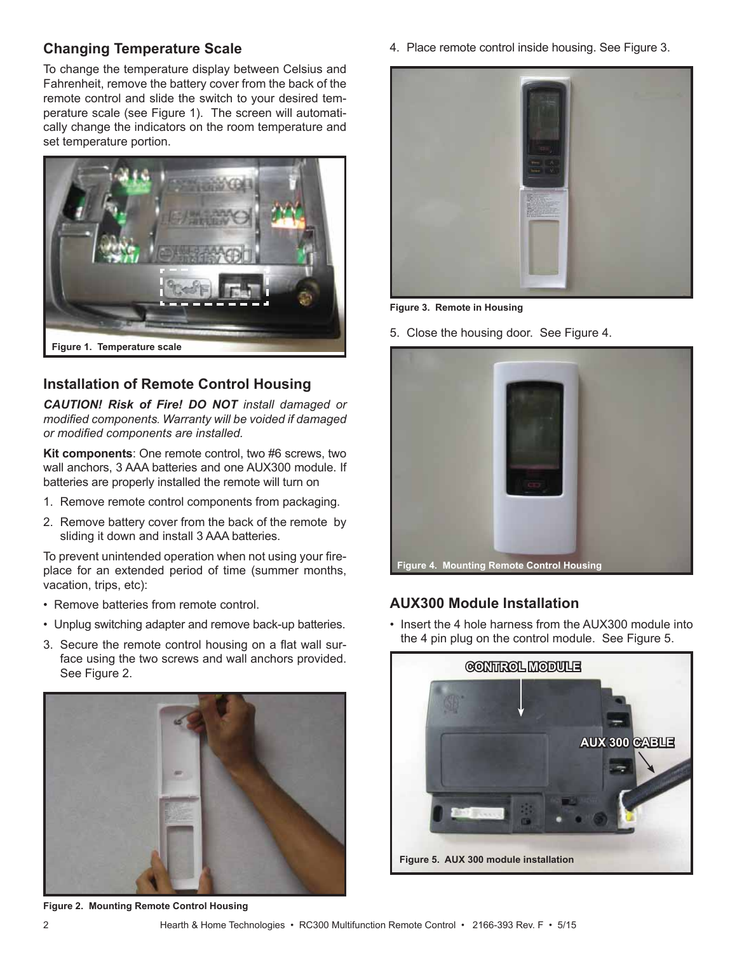#### **Changing Temperature Scale**

To change the temperature display between Celsius and Fahrenheit, remove the battery cover from the back of the remote control and slide the switch to your desired temperature scale (see Figure 1). The screen will automatically change the indicators on the room temperature and set temperature portion.



# **Installation of Remote Control Housing**

*CAUTION! Risk of Fire! DO NOT install damaged or modified components. Warranty will be voided if damaged or modified components are installed.* 

**Kit components**: One remote control, two #6 screws, two wall anchors, 3 AAA batteries and one AUX300 module. If batteries are properly installed the remote will turn on

- 1. Remove remote control components from packaging.
- 2. Remove battery cover from the back of the remote by sliding it down and install 3 AAA batteries.

To prevent unintended operation when not using your fireplace for an extended period of time (summer months, vacation, trips, etc):

- Remove batteries from remote control.
- Unplug switching adapter and remove back-up batteries.
- 3. Secure the remote control housing on a flat wall surface using the two screws and wall anchors provided. See Figure 2.



**Figure 2. Mounting Remote Control Housing**

4. Place remote control inside housing. See Figure 3.



**Figure 3. Remote in Housing**

5. Close the housing door. See Figure 4.



### **AUX300 Module Installation**

• Insert the 4 hole harness from the AUX300 module into the 4 pin plug on the control module. See Figure 5.

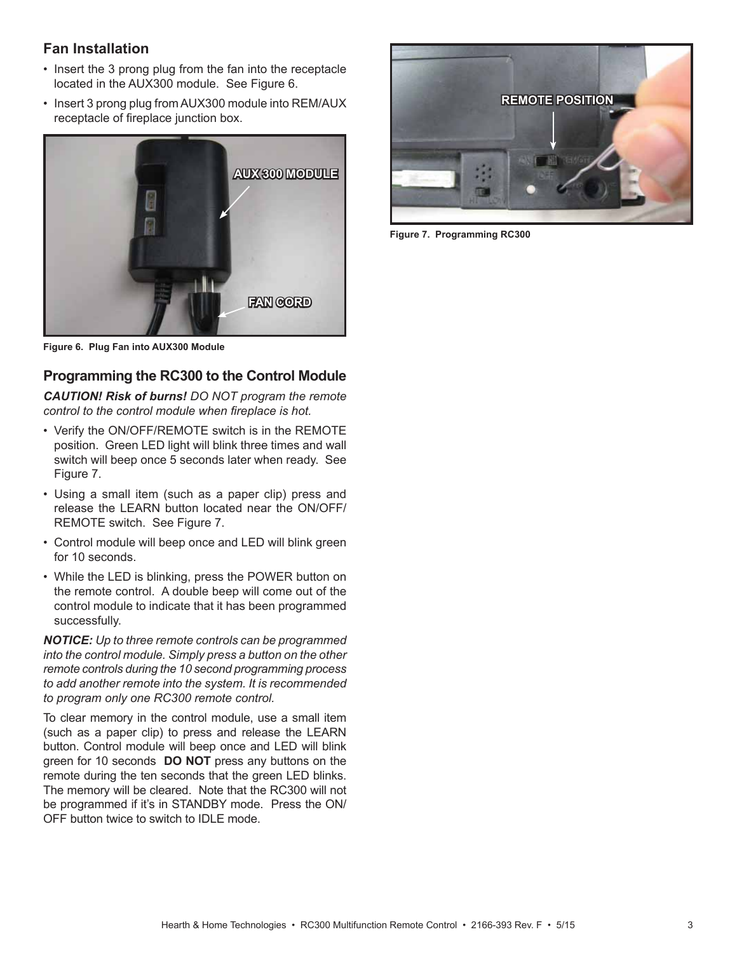### **Fan Installation**

- Insert the 3 prong plug from the fan into the receptacle located in the AUX300 module. See Figure 6.
- Insert 3 prong plug from AUX300 module into REM/AUX receptacle of fireplace junction box.



**Figure 6. Plug Fan into AUX300 Module**

# **Programming the RC300 to the Control Module**

*CAUTION! Risk of burns! DO NOT program the remote*  control to the control module when fireplace is hot.

- Verify the ON/OFF/REMOTE switch is in the REMOTE position. Green LED light will blink three times and wall switch will beep once 5 seconds later when ready. See Figure 7.
- Using a small item (such as a paper clip) press and release the LEARN button located near the ON/OFF/ REMOTE switch. See Figure 7.
- Control module will beep once and LED will blink green for 10 seconds.
- While the LED is blinking, press the POWER button on the remote control. A double beep will come out of the control module to indicate that it has been programmed successfully.

*NOTICE: Up to three remote controls can be programmed into the control module. Simply press a button on the other remote controls during the 10 second programming process to add another remote into the system. It is recommended to program only one RC300 remote control.*

To clear memory in the control module, use a small item (such as a paper clip) to press and release the LEARN button. Control module will beep once and LED will blink green for 10 seconds **DO NOT** press any buttons on the remote during the ten seconds that the green LED blinks. The memory will be cleared. Note that the RC300 will not be programmed if it's in STANDBY mode. Press the ON/ OFF button twice to switch to IDLE mode.



**Figure 7. Programming RC300**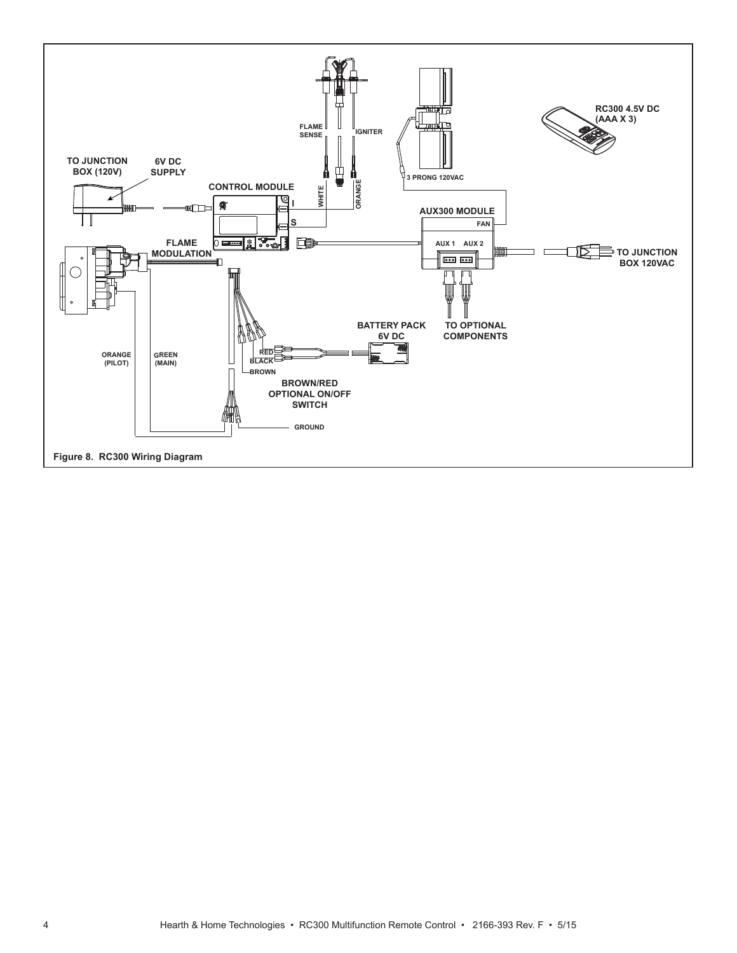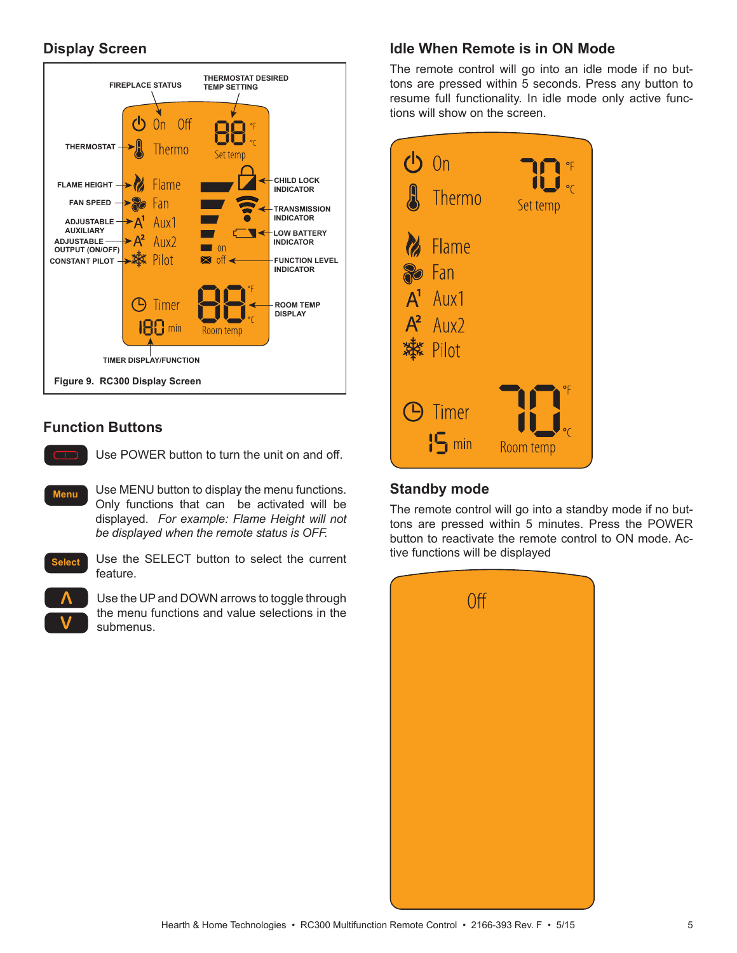### **Display Screen**



### **Function Buttons**



Use POWER button to turn the unit on and off.

- Use MENU button to display the menu functions. Only functions that can be activated will be displayed. *For example: Flame Height will not be displayed when the remote status is OFF.* **Menu**
- **Select**

Use the SELECT button to select the current feature.



Use the UP and DOWN arrows to toggle through the menu functions and value selections in the submenus.

### **Idle When Remote is in ON Mode**

The remote control will go into an idle mode if no buttons are pressed within 5 seconds. Press any button to resume full functionality. In idle mode only active functions will show on the screen.



#### **Standby mode**

The remote control will go into a standby mode if no buttons are pressed within 5 minutes. Press the POWER button to reactivate the remote control to ON mode. Active functions will be displayed

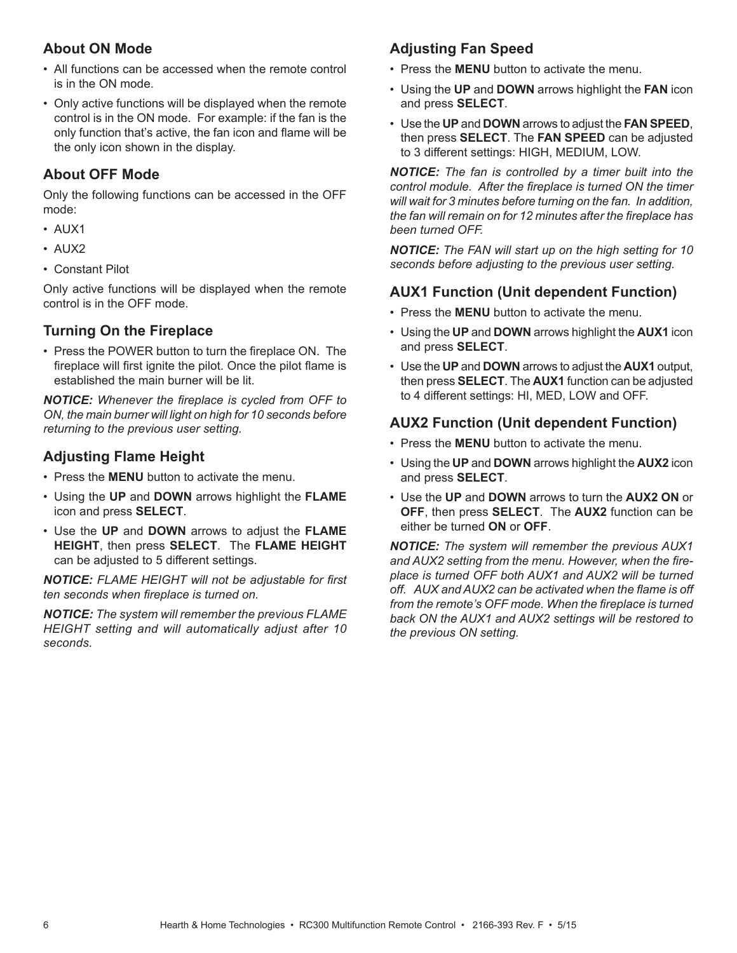### **About ON Mode**

- All functions can be accessed when the remote control is in the ON mode.
- Only active functions will be displayed when the remote control is in the ON mode. For example: if the fan is the only function that's active, the fan icon and flame will be the only icon shown in the display.

#### **About OFF Mode**

Only the following functions can be accessed in the OFF mode:

- AUX1
- AUX2
- Constant Pilot

Only active functions will be displayed when the remote control is in the OFF mode.

### **Turning On the Fireplace**

• Press the POWER button to turn the fireplace ON. The fireplace will first ignite the pilot. Once the pilot flame is established the main burner will be lit.

**NOTICE:** Whenever the fireplace is cycled from OFF to *ON, the main burner will light on high for 10 seconds before returning to the previous user setting.*

## **Adjusting Flame Height**

- Press the **MENU** button to activate the menu.
- Using the **UP** and **DOWN** arrows highlight the **FLAME** icon and press **SELECT**.
- Use the **UP** and **DOWN** arrows to adjust the **FLAME HEIGHT**, then press **SELECT**. The **FLAME HEIGHT** can be adjusted to 5 different settings.

**NOTICE:** FLAME HEIGHT will not be adjustable for first *ten seconds when fireplace is turned on.* 

*NOTICE: The system will remember the previous FLAME HEIGHT setting and will automatically adjust after 10 seconds.*

# **Adjusting Fan Speed**

- Press the **MENU** button to activate the menu.
- Using the **UP** and **DOWN** arrows highlight the **FAN** icon and press **SELECT**.
- Use the **UP** and **DOWN** arrows to adjust the **FAN SPEED**, then press **SELECT**. The **FAN SPEED** can be adjusted to 3 different settings: HIGH, MEDIUM, LOW.

*NOTICE: The fan is controlled by a timer built into the control module. After the fireplace is turned ON the timer will wait for 3 minutes before turning on the fan. In addition, the fan will remain on for 12 minutes after the fi replace has been turned OFF.* 

*NOTICE: The FAN will start up on the high setting for 10 seconds before adjusting to the previous user setting.*

### **AUX1 Function (Unit dependent Function)**

- Press the **MENU** button to activate the menu.
- Using the **UP** and **DOWN** arrows highlight the **AUX1** icon and press **SELECT**.
- Use the **UP** and **DOWN** arrows to adjust the **AUX1** output, then press **SELECT**. The **AUX1** function can be adjusted to 4 different settings: HI, MED, LOW and OFF.

### **AUX2 Function (Unit dependent Function)**

- Press the **MENU** button to activate the menu.
- Using the **UP** and **DOWN** arrows highlight the **AUX2** icon and press **SELECT**.
- Use the **UP** and **DOWN** arrows to turn the **AUX2 ON** or **OFF**, then press **SELECT**. The **AUX2** function can be either be turned **ON** or **OFF**.

*NOTICE: The system will remember the previous AUX1*  and AUX2 setting from the menu. However, when the fire*place is turned OFF both AUX1 and AUX2 will be turned*  off. AUX and AUX2 can be activated when the flame is off from the remote's OFF mode. When the fireplace is turned *back ON the AUX1 and AUX2 settings will be restored to the previous ON setting.*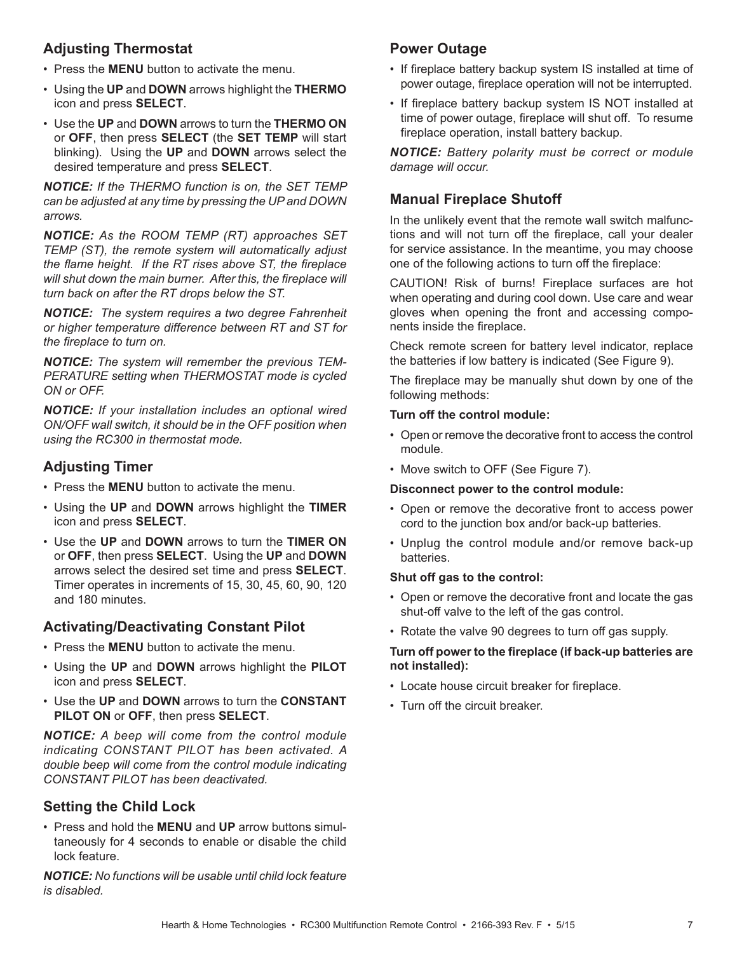## **Adjusting Thermostat**

- Press the **MENU** button to activate the menu.
- Using the **UP** and **DOWN** arrows highlight the **THERMO** icon and press **SELECT**.
- Use the **UP** and **DOWN** arrows to turn the **THERMO ON** or **OFF**, then press **SELECT** (the **SET TEMP** will start blinking). Using the **UP** and **DOWN** arrows select the desired temperature and press **SELECT**.

*NOTICE: If the THERMO function is on, the SET TEMP can be adjusted at any time by pressing the UP and DOWN arrows.*

*NOTICE: As the ROOM TEMP (RT) approaches SET TEMP (ST), the remote system will automatically adjust the flame height. If the RT rises above ST, the fireplace* will shut down the main burner. After this, the fireplace will *turn back on after the RT drops below the ST.*

*NOTICE: The system requires a two degree Fahrenheit or higher temperature difference between RT and ST for the fi replace to turn on.*

*NOTICE: The system will remember the previous TEM-PERATURE setting when THERMOSTAT mode is cycled ON or OFF.*

*NOTICE: If your installation includes an optional wired ON/OFF wall switch, it should be in the OFF position when using the RC300 in thermostat mode.*

## **Adjusting Timer**

- Press the **MENU** button to activate the menu.
- Using the **UP** and **DOWN** arrows highlight the **TIMER** icon and press **SELECT**.
- Use the **UP** and **DOWN** arrows to turn the **TIMER ON** or **OFF**, then press **SELECT**. Using the **UP** and **DOWN** arrows select the desired set time and press **SELECT**. Timer operates in increments of 15, 30, 45, 60, 90, 120 and 180 minutes.

### **Activating/Deactivating Constant Pilot**

- Press the **MENU** button to activate the menu.
- Using the **UP** and **DOWN** arrows highlight the **PILOT** icon and press **SELECT**.
- Use the **UP** and **DOWN** arrows to turn the **CONSTANT PILOT ON** or **OFF**, then press **SELECT**.

*NOTICE: A beep will come from the control module indicating CONSTANT PILOT has been activated. A double beep will come from the control module indicating CONSTANT PILOT has been deactivated.*

#### **Setting the Child Lock**

• Press and hold the **MENU** and **UP** arrow buttons simultaneously for 4 seconds to enable or disable the child lock feature.

*NOTICE: No functions will be usable until child lock feature is disabled.*

#### **Power Outage**

- If fireplace battery backup system IS installed at time of power outage, fireplace operation will not be interrupted.
- If fireplace battery backup system IS NOT installed at time of power outage, fireplace will shut off. To resume fireplace operation, install battery backup.

*NOTICE: Battery polarity must be correct or module damage will occur.*

### **Manual Fireplace Shutoff**

In the unlikely event that the remote wall switch malfunctions and will not turn off the fireplace, call your dealer for service assistance. In the meantime, you may choose one of the following actions to turn off the fireplace:

CAUTION! Risk of burns! Fireplace surfaces are hot when operating and during cool down. Use care and wear gloves when opening the front and accessing components inside the fireplace.

Check remote screen for battery level indicator, replace the batteries if low battery is indicated (See Figure 9).

The fireplace may be manually shut down by one of the following methods:

#### **Turn off the control module:**

- Open or remove the decorative front to access the control module.
- Move switch to OFF (See Figure 7).

#### **Disconnect power to the control module:**

- Open or remove the decorative front to access power cord to the junction box and/or back-up batteries.
- Unplug the control module and/or remove back-up batteries.

#### **Shut off gas to the control:**

- Open or remove the decorative front and locate the gas shut-off valve to the left of the gas control.
- Rotate the valve 90 degrees to turn off gas supply.

#### Turn off power to the fireplace (if back-up batteries are **not installed):**

- Locate house circuit breaker for fireplace.
- Turn off the circuit breaker.